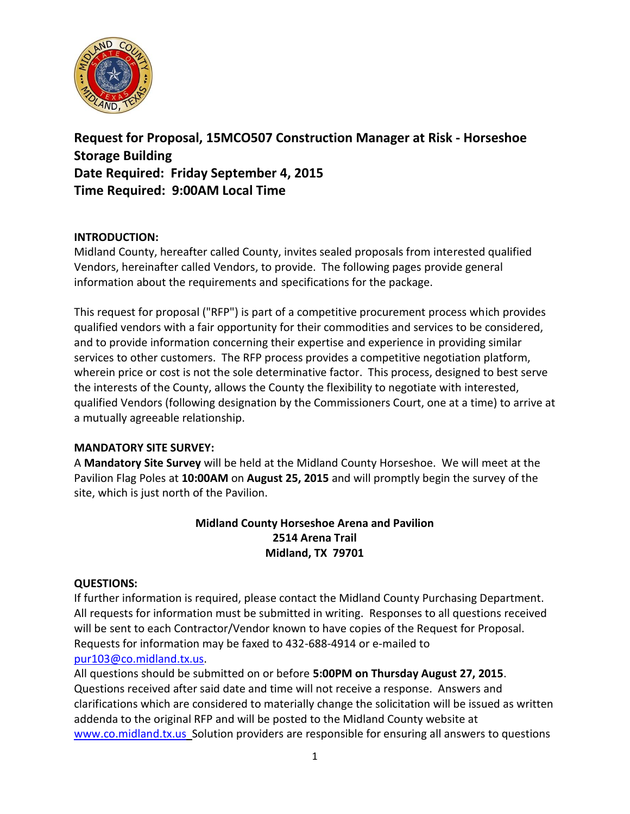

**Request for Proposal, 15MCO507 Construction Manager at Risk - Horseshoe Storage Building Date Required: Friday September 4, 2015 Time Required: 9:00AM Local Time**

## **INTRODUCTION:**

Midland County, hereafter called County, invites sealed proposals from interested qualified Vendors, hereinafter called Vendors, to provide. The following pages provide general information about the requirements and specifications for the package.

This request for proposal ("RFP") is part of a competitive procurement process which provides qualified vendors with a fair opportunity for their commodities and services to be considered, and to provide information concerning their expertise and experience in providing similar services to other customers. The RFP process provides a competitive negotiation platform, wherein price or cost is not the sole determinative factor. This process, designed to best serve the interests of the County, allows the County the flexibility to negotiate with interested, qualified Vendors (following designation by the Commissioners Court, one at a time) to arrive at a mutually agreeable relationship.

## **MANDATORY SITE SURVEY:**

A **Mandatory Site Survey** will be held at the Midland County Horseshoe. We will meet at the Pavilion Flag Poles at **10:00AM** on **August 25, 2015** and will promptly begin the survey of the site, which is just north of the Pavilion.

## **Midland County Horseshoe Arena and Pavilion 2514 Arena Trail Midland, TX 79701**

## **QUESTIONS:**

If further information is required, please contact the Midland County Purchasing Department. All requests for information must be submitted in writing. Responses to all questions received will be sent to each Contractor/Vendor known to have copies of the Request for Proposal. Requests for information may be faxed to 432-688-4914 or e-mailed to [pur103@co.midland.tx.us.](mailto:pur103@co.midland.tx.us)

All questions should be submitted on or before **5:00PM on Thursday August 27, 2015**. Questions received after said date and time will not receive a response. Answers and clarifications which are considered to materially change the solicitation will be issued as written addenda to the original RFP and will be posted to the Midland County website at [www.co.midland.tx.us](http://www.co.midland.tx.us/) Solution providers are responsible for ensuring all answers to questions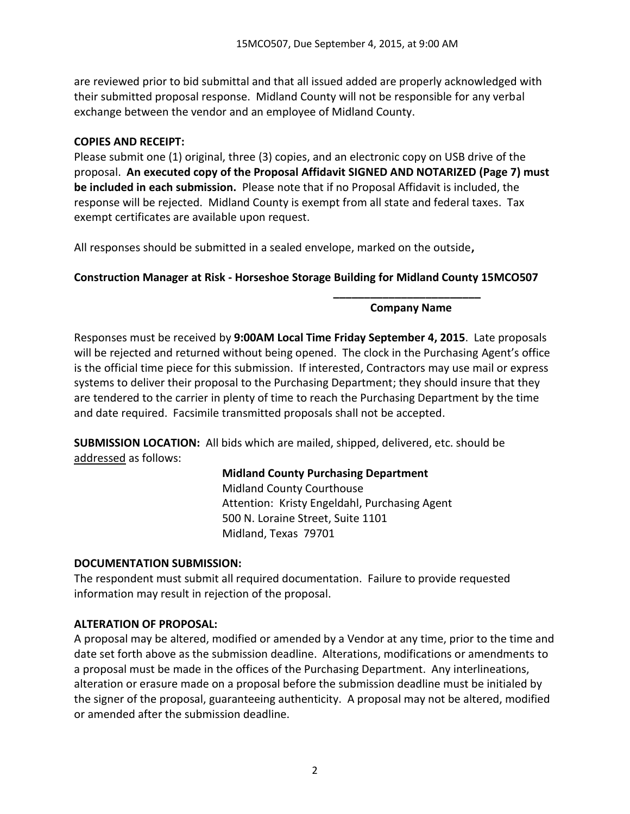are reviewed prior to bid submittal and that all issued added are properly acknowledged with their submitted proposal response. Midland County will not be responsible for any verbal exchange between the vendor and an employee of Midland County.

### **COPIES AND RECEIPT:**

Please submit one (1) original, three (3) copies, and an electronic copy on USB drive of the proposal. **An executed copy of the Proposal Affidavit SIGNED AND NOTARIZED (Page 7) must be included in each submission.** Please note that if no Proposal Affidavit is included, the response will be rejected. Midland County is exempt from all state and federal taxes. Tax exempt certificates are available upon request.

All responses should be submitted in a sealed envelope, marked on the outside**,** 

## **Construction Manager at Risk - Horseshoe Storage Building for Midland County 15MCO507**

#### **\_\_\_\_\_\_\_\_\_\_\_\_\_\_\_\_\_\_\_\_\_\_\_\_ Company Name**

Responses must be received by **9:00AM Local Time Friday September 4, 2015**. Late proposals will be rejected and returned without being opened. The clock in the Purchasing Agent's office is the official time piece for this submission. If interested, Contractors may use mail or express systems to deliver their proposal to the Purchasing Department; they should insure that they are tendered to the carrier in plenty of time to reach the Purchasing Department by the time and date required. Facsimile transmitted proposals shall not be accepted.

**SUBMISSION LOCATION:** All bids which are mailed, shipped, delivered, etc. should be addressed as follows:

## **Midland County Purchasing Department**

Midland County Courthouse Attention: Kristy Engeldahl, Purchasing Agent 500 N. Loraine Street, Suite 1101 Midland, Texas 79701

#### **DOCUMENTATION SUBMISSION:**

The respondent must submit all required documentation. Failure to provide requested information may result in rejection of the proposal.

## **ALTERATION OF PROPOSAL:**

A proposal may be altered, modified or amended by a Vendor at any time, prior to the time and date set forth above as the submission deadline. Alterations, modifications or amendments to a proposal must be made in the offices of the Purchasing Department. Any interlineations, alteration or erasure made on a proposal before the submission deadline must be initialed by the signer of the proposal, guaranteeing authenticity. A proposal may not be altered, modified or amended after the submission deadline.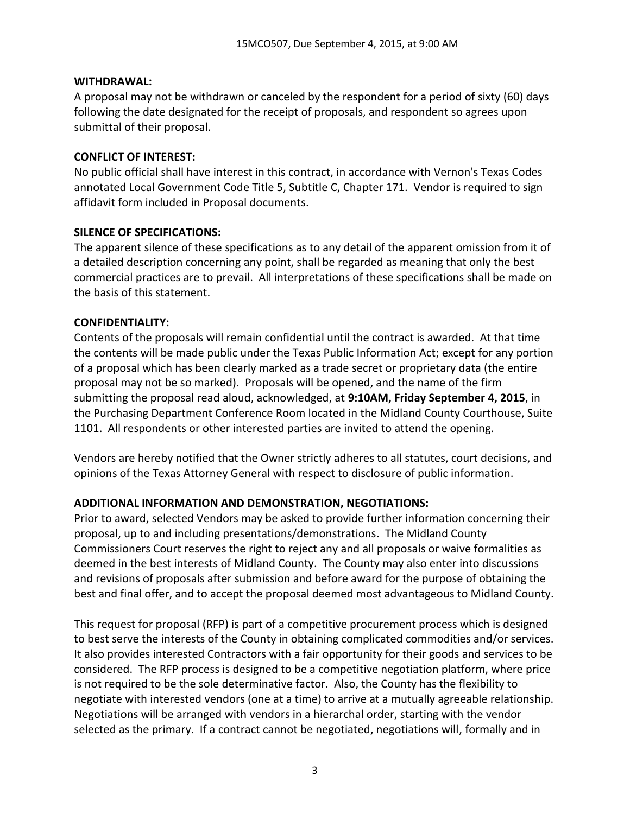#### **WITHDRAWAL:**

A proposal may not be withdrawn or canceled by the respondent for a period of sixty (60) days following the date designated for the receipt of proposals, and respondent so agrees upon submittal of their proposal.

## **CONFLICT OF INTEREST:**

No public official shall have interest in this contract, in accordance with Vernon's Texas Codes annotated Local Government Code Title 5, Subtitle C, Chapter 171. Vendor is required to sign affidavit form included in Proposal documents.

## **SILENCE OF SPECIFICATIONS:**

The apparent silence of these specifications as to any detail of the apparent omission from it of a detailed description concerning any point, shall be regarded as meaning that only the best commercial practices are to prevail. All interpretations of these specifications shall be made on the basis of this statement.

## **CONFIDENTIALITY:**

Contents of the proposals will remain confidential until the contract is awarded. At that time the contents will be made public under the Texas Public Information Act; except for any portion of a proposal which has been clearly marked as a trade secret or proprietary data (the entire proposal may not be so marked). Proposals will be opened, and the name of the firm submitting the proposal read aloud, acknowledged, at **9:10AM, Friday September 4, 2015**, in the Purchasing Department Conference Room located in the Midland County Courthouse, Suite 1101. All respondents or other interested parties are invited to attend the opening.

Vendors are hereby notified that the Owner strictly adheres to all statutes, court decisions, and opinions of the Texas Attorney General with respect to disclosure of public information.

## **ADDITIONAL INFORMATION AND DEMONSTRATION, NEGOTIATIONS:**

Prior to award, selected Vendors may be asked to provide further information concerning their proposal, up to and including presentations/demonstrations. The Midland County Commissioners Court reserves the right to reject any and all proposals or waive formalities as deemed in the best interests of Midland County. The County may also enter into discussions and revisions of proposals after submission and before award for the purpose of obtaining the best and final offer, and to accept the proposal deemed most advantageous to Midland County.

This request for proposal (RFP) is part of a competitive procurement process which is designed to best serve the interests of the County in obtaining complicated commodities and/or services. It also provides interested Contractors with a fair opportunity for their goods and services to be considered. The RFP process is designed to be a competitive negotiation platform, where price is not required to be the sole determinative factor. Also, the County has the flexibility to negotiate with interested vendors (one at a time) to arrive at a mutually agreeable relationship. Negotiations will be arranged with vendors in a hierarchal order, starting with the vendor selected as the primary. If a contract cannot be negotiated, negotiations will, formally and in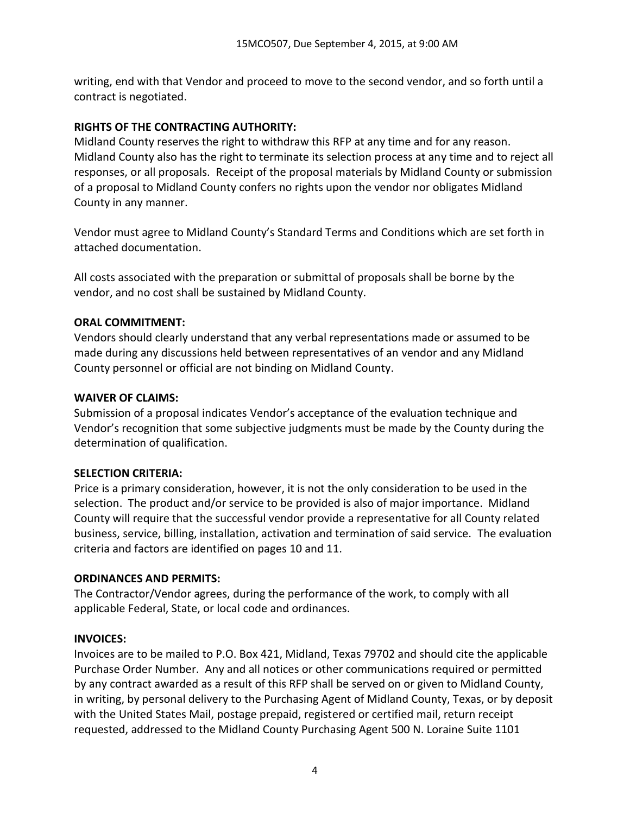writing, end with that Vendor and proceed to move to the second vendor, and so forth until a contract is negotiated.

## **RIGHTS OF THE CONTRACTING AUTHORITY:**

Midland County reserves the right to withdraw this RFP at any time and for any reason. Midland County also has the right to terminate its selection process at any time and to reject all responses, or all proposals. Receipt of the proposal materials by Midland County or submission of a proposal to Midland County confers no rights upon the vendor nor obligates Midland County in any manner.

Vendor must agree to Midland County's Standard Terms and Conditions which are set forth in attached documentation.

All costs associated with the preparation or submittal of proposals shall be borne by the vendor, and no cost shall be sustained by Midland County.

## **ORAL COMMITMENT:**

Vendors should clearly understand that any verbal representations made or assumed to be made during any discussions held between representatives of an vendor and any Midland County personnel or official are not binding on Midland County.

## **WAIVER OF CLAIMS:**

Submission of a proposal indicates Vendor's acceptance of the evaluation technique and Vendor's recognition that some subjective judgments must be made by the County during the determination of qualification.

#### **SELECTION CRITERIA:**

Price is a primary consideration, however, it is not the only consideration to be used in the selection. The product and/or service to be provided is also of major importance. Midland County will require that the successful vendor provide a representative for all County related business, service, billing, installation, activation and termination of said service. The evaluation criteria and factors are identified on pages 10 and 11.

## **ORDINANCES AND PERMITS:**

The Contractor/Vendor agrees, during the performance of the work, to comply with all applicable Federal, State, or local code and ordinances.

## **INVOICES:**

Invoices are to be mailed to P.O. Box 421, Midland, Texas 79702 and should cite the applicable Purchase Order Number. Any and all notices or other communications required or permitted by any contract awarded as a result of this RFP shall be served on or given to Midland County, in writing, by personal delivery to the Purchasing Agent of Midland County, Texas, or by deposit with the United States Mail, postage prepaid, registered or certified mail, return receipt requested, addressed to the Midland County Purchasing Agent 500 N. Loraine Suite 1101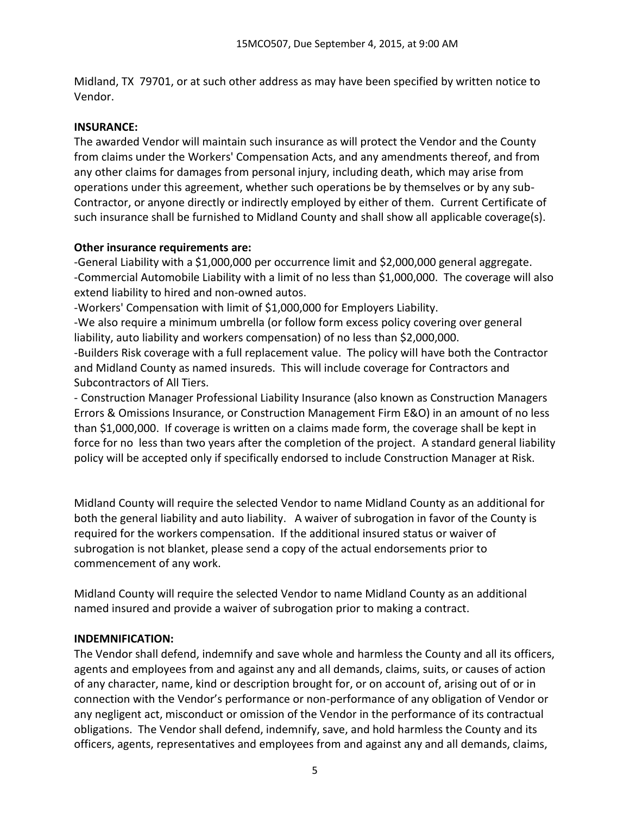Midland, TX 79701, or at such other address as may have been specified by written notice to Vendor.

## **INSURANCE:**

The awarded Vendor will maintain such insurance as will protect the Vendor and the County from claims under the Workers' Compensation Acts, and any amendments thereof, and from any other claims for damages from personal injury, including death, which may arise from operations under this agreement, whether such operations be by themselves or by any sub-Contractor, or anyone directly or indirectly employed by either of them. Current Certificate of such insurance shall be furnished to Midland County and shall show all applicable coverage(s).

## **Other insurance requirements are:**

-General Liability with a \$1,000,000 per occurrence limit and \$2,000,000 general aggregate. -Commercial Automobile Liability with a limit of no less than \$1,000,000. The coverage will also extend liability to hired and non-owned autos.

-Workers' Compensation with limit of \$1,000,000 for Employers Liability.

-We also require a minimum umbrella (or follow form excess policy covering over general liability, auto liability and workers compensation) of no less than \$2,000,000.

-Builders Risk coverage with a full replacement value. The policy will have both the Contractor and Midland County as named insureds. This will include coverage for Contractors and Subcontractors of All Tiers.

- Construction Manager Professional Liability Insurance (also known as Construction Managers Errors & Omissions Insurance, or Construction Management Firm E&O) in an amount of no less than \$1,000,000. If coverage is written on a claims made form, the coverage shall be kept in force for no less than two years after the completion of the project. A standard general liability policy will be accepted only if specifically endorsed to include Construction Manager at Risk.

Midland County will require the selected Vendor to name Midland County as an additional for both the general liability and auto liability. A waiver of subrogation in favor of the County is required for the workers compensation. If the additional insured status or waiver of subrogation is not blanket, please send a copy of the actual endorsements prior to commencement of any work.

Midland County will require the selected Vendor to name Midland County as an additional named insured and provide a waiver of subrogation prior to making a contract.

#### **INDEMNIFICATION:**

The Vendor shall defend, indemnify and save whole and harmless the County and all its officers, agents and employees from and against any and all demands, claims, suits, or causes of action of any character, name, kind or description brought for, or on account of, arising out of or in connection with the Vendor's performance or non-performance of any obligation of Vendor or any negligent act, misconduct or omission of the Vendor in the performance of its contractual obligations. The Vendor shall defend, indemnify, save, and hold harmless the County and its officers, agents, representatives and employees from and against any and all demands, claims,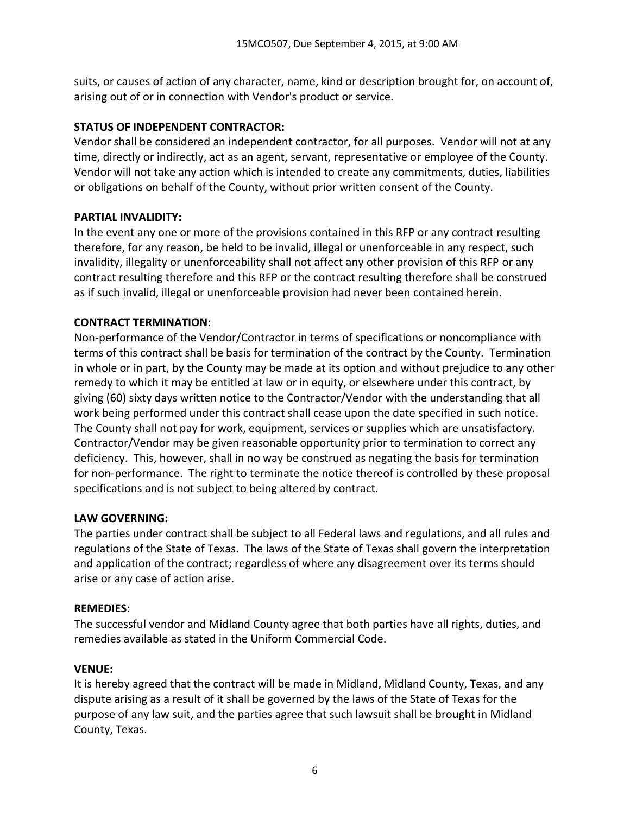suits, or causes of action of any character, name, kind or description brought for, on account of, arising out of or in connection with Vendor's product or service.

## **STATUS OF INDEPENDENT CONTRACTOR:**

Vendor shall be considered an independent contractor, for all purposes. Vendor will not at any time, directly or indirectly, act as an agent, servant, representative or employee of the County. Vendor will not take any action which is intended to create any commitments, duties, liabilities or obligations on behalf of the County, without prior written consent of the County.

## **PARTIAL INVALIDITY:**

In the event any one or more of the provisions contained in this RFP or any contract resulting therefore, for any reason, be held to be invalid, illegal or unenforceable in any respect, such invalidity, illegality or unenforceability shall not affect any other provision of this RFP or any contract resulting therefore and this RFP or the contract resulting therefore shall be construed as if such invalid, illegal or unenforceable provision had never been contained herein.

# **CONTRACT TERMINATION:**

Non-performance of the Vendor/Contractor in terms of specifications or noncompliance with terms of this contract shall be basis for termination of the contract by the County. Termination in whole or in part, by the County may be made at its option and without prejudice to any other remedy to which it may be entitled at law or in equity, or elsewhere under this contract, by giving (60) sixty days written notice to the Contractor/Vendor with the understanding that all work being performed under this contract shall cease upon the date specified in such notice. The County shall not pay for work, equipment, services or supplies which are unsatisfactory. Contractor/Vendor may be given reasonable opportunity prior to termination to correct any deficiency. This, however, shall in no way be construed as negating the basis for termination for non-performance. The right to terminate the notice thereof is controlled by these proposal specifications and is not subject to being altered by contract.

## **LAW GOVERNING:**

The parties under contract shall be subject to all Federal laws and regulations, and all rules and regulations of the State of Texas. The laws of the State of Texas shall govern the interpretation and application of the contract; regardless of where any disagreement over its terms should arise or any case of action arise.

## **REMEDIES:**

The successful vendor and Midland County agree that both parties have all rights, duties, and remedies available as stated in the Uniform Commercial Code.

# **VENUE:**

It is hereby agreed that the contract will be made in Midland, Midland County, Texas, and any dispute arising as a result of it shall be governed by the laws of the State of Texas for the purpose of any law suit, and the parties agree that such lawsuit shall be brought in Midland County, Texas.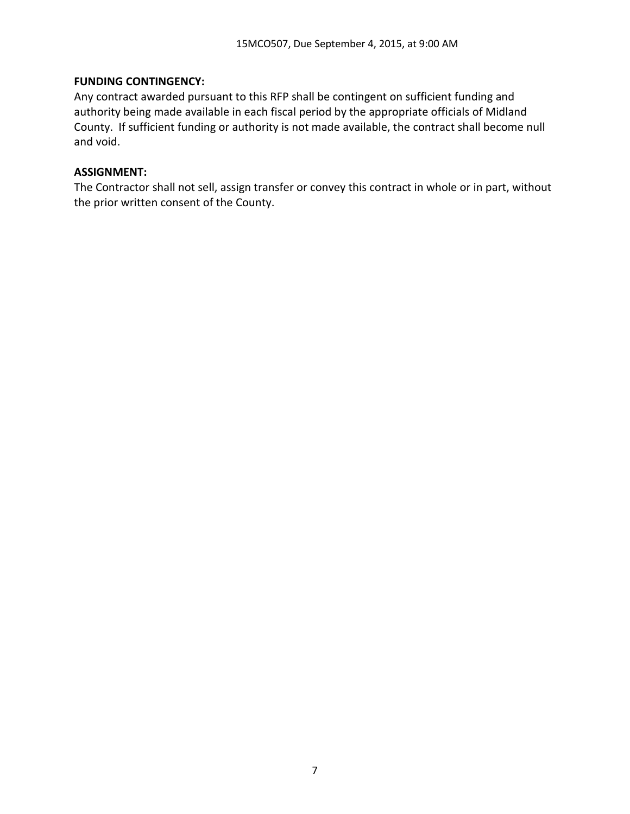### **FUNDING CONTINGENCY:**

Any contract awarded pursuant to this RFP shall be contingent on sufficient funding and authority being made available in each fiscal period by the appropriate officials of Midland County. If sufficient funding or authority is not made available, the contract shall become null and void.

### **ASSIGNMENT:**

The Contractor shall not sell, assign transfer or convey this contract in whole or in part, without the prior written consent of the County.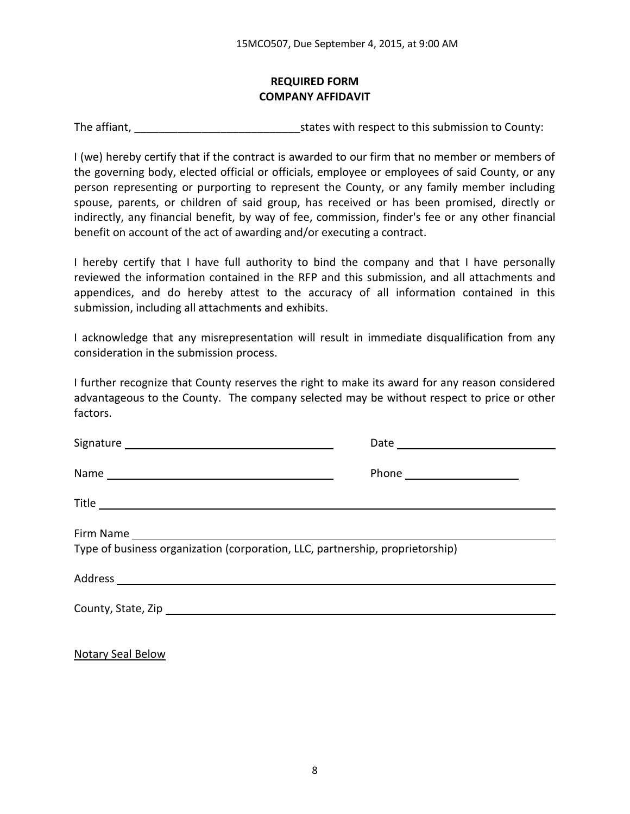## **REQUIRED FORM COMPANY AFFIDAVIT**

The affiant, The affiant,  $\frac{1}{2}$  is tates with respect to this submission to County:

I (we) hereby certify that if the contract is awarded to our firm that no member or members of the governing body, elected official or officials, employee or employees of said County, or any person representing or purporting to represent the County, or any family member including spouse, parents, or children of said group, has received or has been promised, directly or indirectly, any financial benefit, by way of fee, commission, finder's fee or any other financial benefit on account of the act of awarding and/or executing a contract.

I hereby certify that I have full authority to bind the company and that I have personally reviewed the information contained in the RFP and this submission, and all attachments and appendices, and do hereby attest to the accuracy of all information contained in this submission, including all attachments and exhibits.

I acknowledge that any misrepresentation will result in immediate disqualification from any consideration in the submission process.

I further recognize that County reserves the right to make its award for any reason considered advantageous to the County. The company selected may be without respect to price or other factors.

| Type of business organization (corporation, LLC, partnership, proprietorship) |
|-------------------------------------------------------------------------------|
|                                                                               |
|                                                                               |
|                                                                               |

Notary Seal Below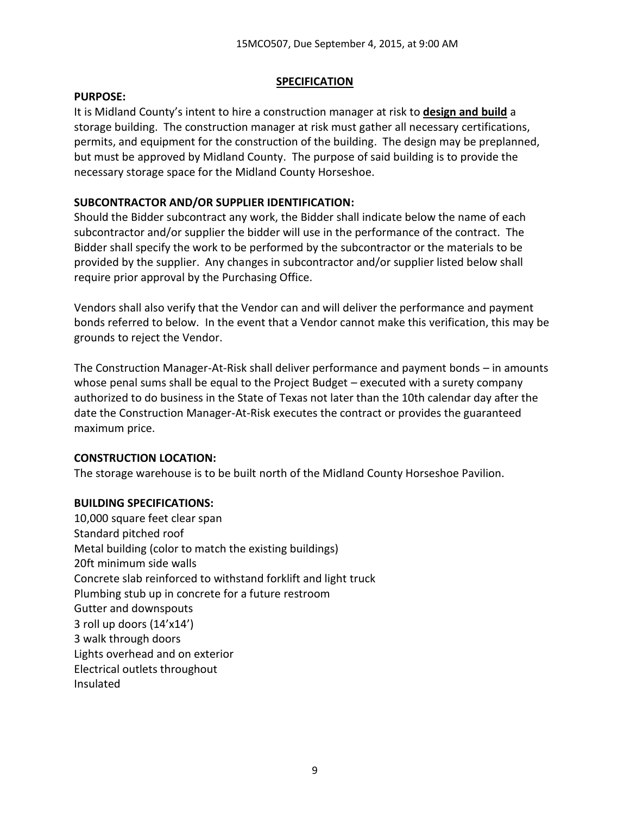## **SPECIFICATION**

#### **PURPOSE:**

It is Midland County's intent to hire a construction manager at risk to **design and build** a storage building. The construction manager at risk must gather all necessary certifications, permits, and equipment for the construction of the building. The design may be preplanned, but must be approved by Midland County. The purpose of said building is to provide the necessary storage space for the Midland County Horseshoe.

## **SUBCONTRACTOR AND/OR SUPPLIER IDENTIFICATION:**

Should the Bidder subcontract any work, the Bidder shall indicate below the name of each subcontractor and/or supplier the bidder will use in the performance of the contract. The Bidder shall specify the work to be performed by the subcontractor or the materials to be provided by the supplier. Any changes in subcontractor and/or supplier listed below shall require prior approval by the Purchasing Office.

Vendors shall also verify that the Vendor can and will deliver the performance and payment bonds referred to below. In the event that a Vendor cannot make this verification, this may be grounds to reject the Vendor.

The Construction Manager-At-Risk shall deliver performance and payment bonds – in amounts whose penal sums shall be equal to the Project Budget – executed with a surety company authorized to do business in the State of Texas not later than the 10th calendar day after the date the Construction Manager-At-Risk executes the contract or provides the guaranteed maximum price.

#### **CONSTRUCTION LOCATION:**

The storage warehouse is to be built north of the Midland County Horseshoe Pavilion.

#### **BUILDING SPECIFICATIONS:**

10,000 square feet clear span Standard pitched roof Metal building (color to match the existing buildings) 20ft minimum side walls Concrete slab reinforced to withstand forklift and light truck Plumbing stub up in concrete for a future restroom Gutter and downspouts 3 roll up doors (14'x14') 3 walk through doors Lights overhead and on exterior Electrical outlets throughout Insulated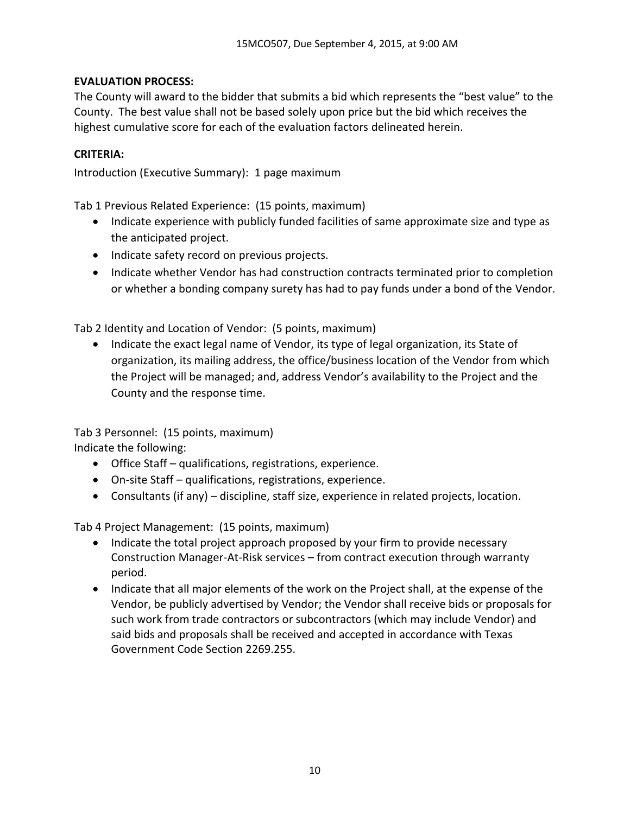## **EVALUATION PROCESS:**

The County will award to the bidder that submits a bid which represents the "best value" to the County. The best value shall not be based solely upon price but the bid which receives the highest cumulative score for each of the evaluation factors delineated herein.

## **CRITERIA:**

Introduction (Executive Summary): 1 page maximum

Tab 1 Previous Related Experience: (15 points, maximum)

- Indicate experience with publicly funded facilities of same approximate size and type as the anticipated project.
- Indicate safety record on previous projects.
- Indicate whether Vendor has had construction contracts terminated prior to completion or whether a bonding company surety has had to pay funds under a bond of the Vendor.

Tab 2 Identity and Location of Vendor: (5 points, maximum)

• Indicate the exact legal name of Vendor, its type of legal organization, its State of organization, its mailing address, the office/business location of the Vendor from which the Project will be managed; and, address Vendor's availability to the Project and the County and the response time.

Tab 3 Personnel: (15 points, maximum) Indicate the following:

- Office Staff qualifications, registrations, experience.
- On-site Staff qualifications, registrations, experience.
- Consultants (if any) discipline, staff size, experience in related projects, location.

Tab 4 Project Management: (15 points, maximum)

- Indicate the total project approach proposed by your firm to provide necessary Construction Manager-At-Risk services – from contract execution through warranty period.
- Indicate that all major elements of the work on the Project shall, at the expense of the Vendor, be publicly advertised by Vendor; the Vendor shall receive bids or proposals for such work from trade contractors or subcontractors (which may include Vendor) and said bids and proposals shall be received and accepted in accordance with Texas Government Code Section 2269.255.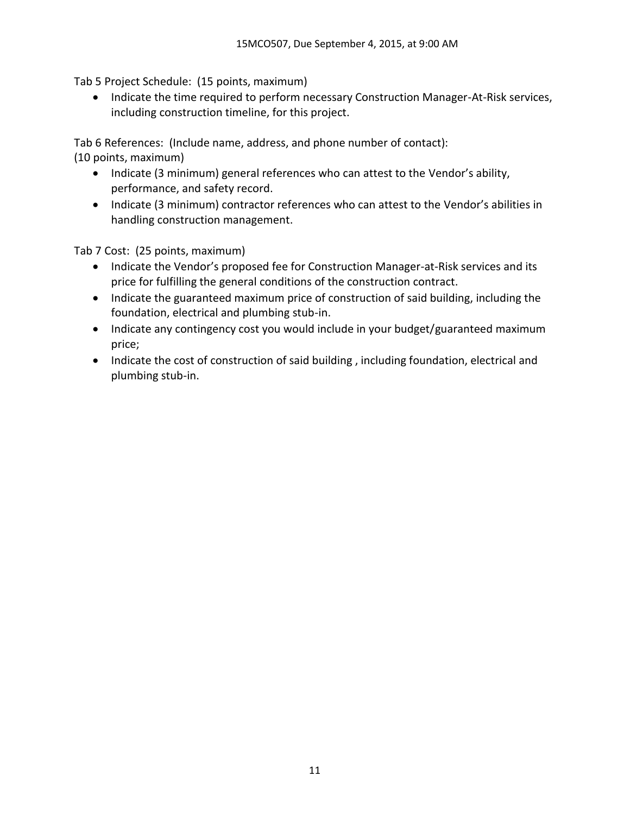Tab 5 Project Schedule: (15 points, maximum)

• Indicate the time required to perform necessary Construction Manager-At-Risk services, including construction timeline, for this project.

Tab 6 References: (Include name, address, and phone number of contact):

(10 points, maximum)

- Indicate (3 minimum) general references who can attest to the Vendor's ability, performance, and safety record.
- Indicate (3 minimum) contractor references who can attest to the Vendor's abilities in handling construction management.

Tab 7 Cost: (25 points, maximum)

- Indicate the Vendor's proposed fee for Construction Manager-at-Risk services and its price for fulfilling the general conditions of the construction contract.
- Indicate the guaranteed maximum price of construction of said building, including the foundation, electrical and plumbing stub-in.
- Indicate any contingency cost you would include in your budget/guaranteed maximum price;
- Indicate the cost of construction of said building, including foundation, electrical and plumbing stub-in.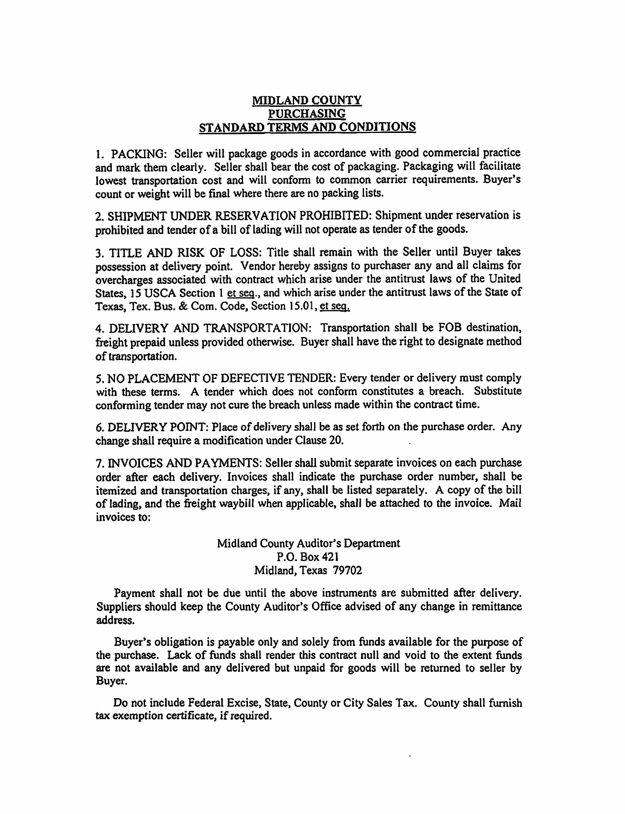#### MIDLAND COUNTY **PURCHASING** STANDARD TERMS AND CONDITIONS

1. PACKING: Seller will package goods in accordance with good commercial practice and mark them clearly. Seller shall bear the cost of packaging. Packaging will facilitate lowest transportation cost and will conform to common carrier requirements. Buyer's count or weight will be final where there are no packing lists.

2. SHIPMENT UNDER RESERVATION PROHIBITED: Shipment under reservation is prohibited and tender of a bill of lading will not operate as tender of the goods.

3. TITLE AND RISK OF LOSS: Title shall remain with the Seller until Buyer takes possession at delivery point. Vendor hereby assigns to purchaser any and all claims for overcharges associated with contract which arise under the antitrust laws of the United States, 15 USCA Section 1 et seq., and which arise under the antitrust laws of the State of Texas, Tex. Bus. & Com. Code, Section 15.01, et seq.

4. DELIVERY AND TRANSPORTATION: Transportation shall be FOB destination, freight prepaid unless provided otherwise. Buyer shall have the right to designate method of transportation.

5. NO PLACEMENT OF DEFECTIVE TENDER: Every tender or delivery must comply with these terms. A tender which does not conform constitutes a breach. Substitute conforming tender may not cure the breach unless made within the contract time.

6. DELIVERY POINT: Place of delivery shall be as set forth on the purchase order. Any change shall require a modification under Clause 20.

7. INVOICES AND PAYMENTS: Seller shall submit separate invoices on each purchase order after each delivery. Invoices shall indicate the purchase order number, shall be itemized and transportation charges, if any, shall be listed separately. A copy of the bill of lading, and the freight waybill when applicable, shall be attached to the invoice. Mail invoices to:

> Midland County Auditor's Department P.O. Box 421 Midland, Texas 79702

Payment shall not be due until the above instruments are submitted after delivery. Suppliers should keep the County Auditor's Office advised of any change in remittance address.

Buyer's obligation is payable only and solely from funds available for the purpose of the purchase. Lack of funds shall render this contract null and void to the extent funds are not available and any delivered but unpaid for goods will be returned to seller by Buyer.

Do not include Federal Excise, State, County or City Sales Tax. County shall furnish tax exemption certificate, if required.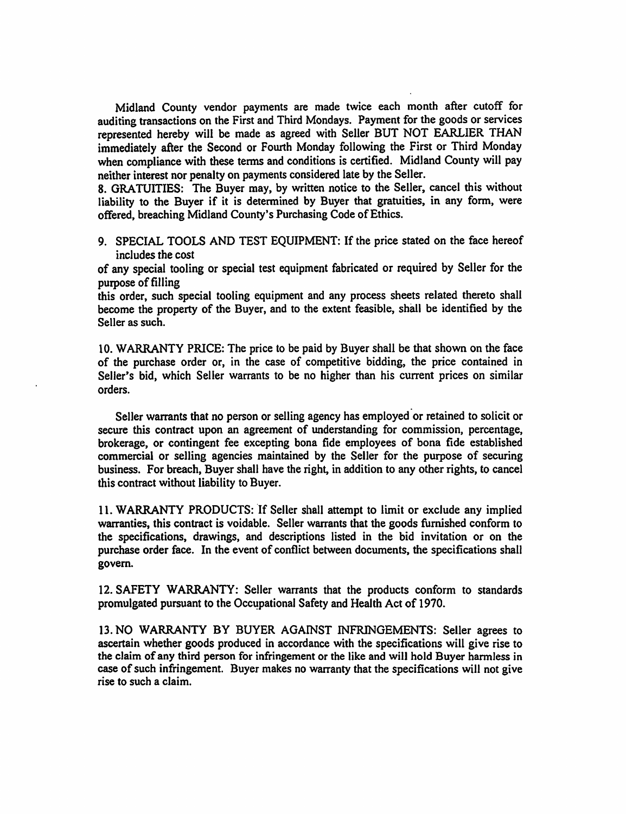Midland County vendor payments are made twice each month after cutoff for auditing transactions on the First and Third Mondays. Payment for the goods or services represented hereby will be made as agreed with Seller BUT NOT EARLIER THAN immediately after the Second or Fourth Monday following the First or Third Monday when compliance with these terms and conditions is certified. Midland County will pay neither interest nor penalty on payments considered late by the Seller.

8. GRATUITIES: The Buyer may, by written notice to the Seller, cancel this without liability to the Buyer if it is determined by Buyer that gratuities, in any form, were offered, breaching Midland County's Purchasing Code of Ethics.

9. SPECIAL TOOLS AND TEST EQUIPMENT: If the price stated on the face hereof includes the cost

of any special tooling or special test equipment fabricated or required by Seller for the purpose of filling

this order, such special tooling equipment and any process sheets related thereto shall become the property of the Buyer, and to the extent feasible, shall be identified by the Seller as such.

10. WARRANTY PRICE: The price to be paid by Buyer shall be that shown on the face of the purchase order or, in the case of competitive bidding, the price contained in Seller's bid, which Seller warrants to be no higher than his current prices on similar orders.

Seller warrants that no person or selling agency has employed or retained to solicit or secure this contract upon an agreement of understanding for commission, percentage, brokerage, or contingent fee excepting bona fide employees of bona fide established commercial or selling agencies maintained by the Seller for the purpose of securing business. For breach, Buyer shall have the right, in addition to any other rights, to cancel this contract without liability to Buyer.

11. WARRANTY PRODUCTS: If Seller shall attempt to limit or exclude any implied warranties, this contract is voidable. Seller warrants that the goods furnished conform to the specifications, drawings, and descriptions listed in the bid invitation or on the purchase order face. In the event of conflict between documents, the specifications shall govern.

12. SAFETY WARRANTY: Seller warrants that the products conform to standards promulgated pursuant to the Occupational Safety and Health Act of 1970.

13. NO WARRANTY BY BUYER AGAINST INFRINGEMENTS: Seller agrees to ascertain whether goods produced in accordance with the specifications will give rise to the claim of any third person for infringement or the like and will hold Buyer harmless in case of such infringement. Buyer makes no warranty that the specifications will not give rise to such a claim.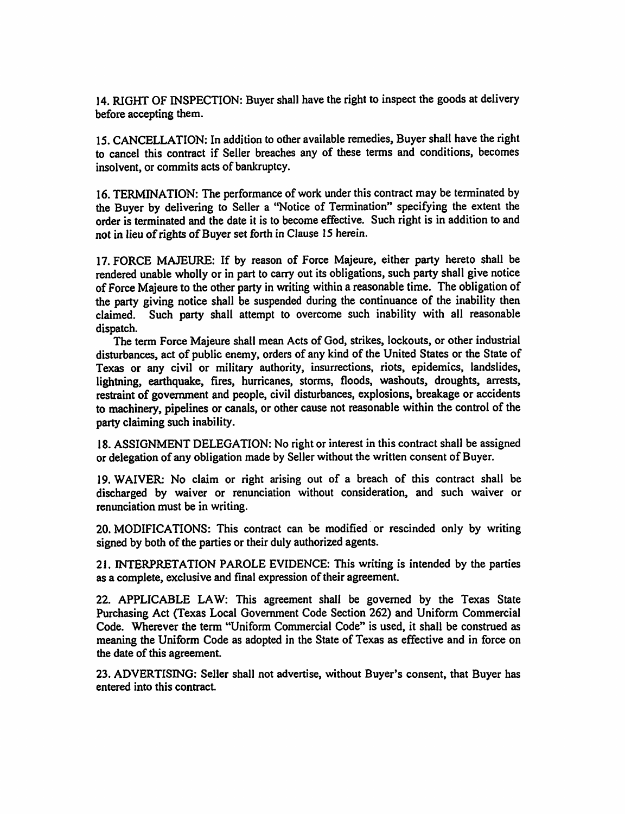14. RIGHT OF INSPECTION: Buyer shall have the right to inspect the goods at delivery before accepting them.

15. CANCELLATION: In addition to other available remedies, Buyer shall have the right to cancel this contract if Seller breaches any of these terms and conditions, becomes insolvent, or commits acts of bankruptcy.

16. TERMINATION: The performance of work under this contract may be terminated by the Buver by delivering to Seller a "Notice of Termination" specifying the extent the order is terminated and the date it is to become effective. Such right is in addition to and not in lieu of rights of Buyer set forth in Clause 15 herein.

17. FORCE MAJEURE: If by reason of Force Majeure, either party hereto shall be rendered unable wholly or in part to carry out its obligations, such party shall give notice of Force Majeure to the other party in writing within a reasonable time. The obligation of the party giving notice shall be suspended during the continuance of the inability then claimed. Such party shall attempt to overcome such inability with all reasonable dispatch.

The term Force Majeure shall mean Acts of God, strikes, lockouts, or other industrial disturbances, act of public enemy, orders of any kind of the United States or the State of Texas or any civil or military authority, insurrections, riots, epidemics, landslides, lightning, earthquake, fires, hurricanes, storms, floods, washouts, droughts, arrests, restraint of government and people, civil disturbances, explosions, breakage or accidents to machinery, pipelines or canals, or other cause not reasonable within the control of the party claiming such inability.

18. ASSIGNMENT DELEGATION: No right or interest in this contract shall be assigned or delegation of any obligation made by Seller without the written consent of Buyer.

19. WAIVER: No claim or right arising out of a breach of this contract shall be discharged by waiver or renunciation without consideration, and such waiver or renunciation must be in writing.

20. MODIFICATIONS: This contract can be modified or rescinded only by writing signed by both of the parties or their duly authorized agents.

21. INTERPRETATION PAROLE EVIDENCE: This writing is intended by the parties as a complete, exclusive and final expression of their agreement.

22. APPLICABLE LAW: This agreement shall be governed by the Texas State Purchasing Act (Texas Local Government Code Section 262) and Uniform Commercial Code. Wherever the term "Uniform Commercial Code" is used, it shall be construed as meaning the Uniform Code as adopted in the State of Texas as effective and in force on the date of this agreement.

23. ADVERTISING: Seller shall not advertise, without Buyer's consent, that Buyer has entered into this contract.